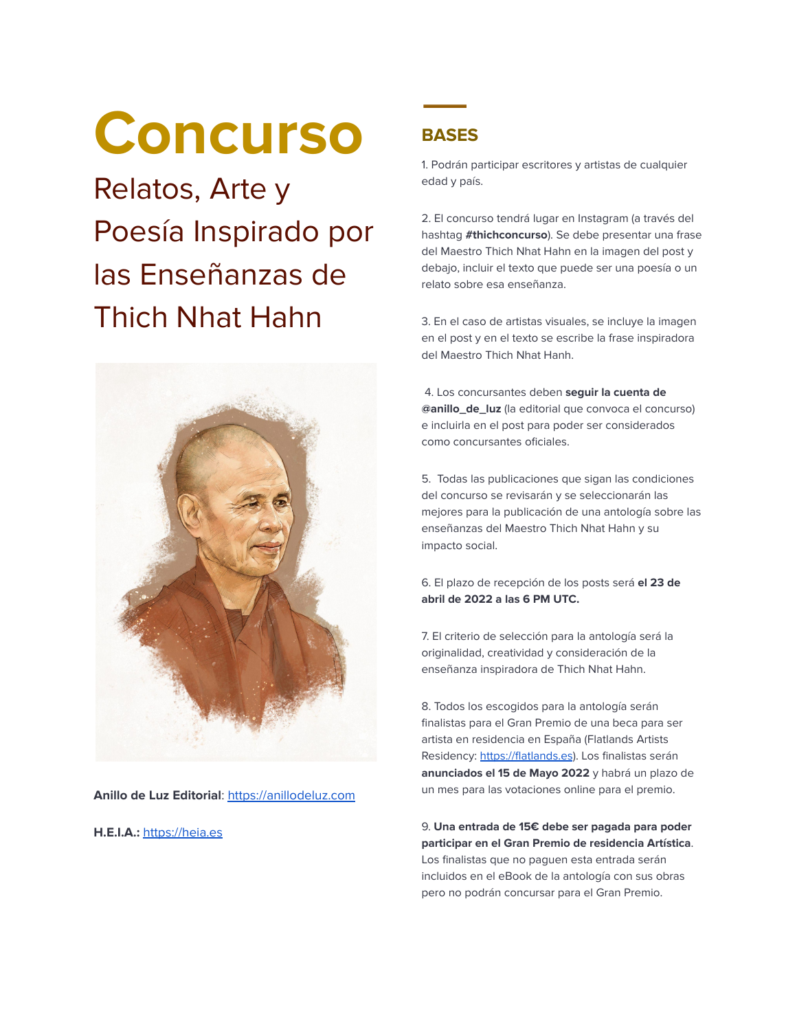# **Concurso**

Relatos, Arte y Poesía Inspirado por las Enseñanzas de Thich Nhat Hahn



**Anillo de Luz Editorial**: <https://anillodeluz.com>

**H.E.I.A.:** <https://heia.es>

## **BASES**

1. Podrán participar escritores y artistas de cualquier edad y país.

2. El concurso tendrá lugar en Instagram (a través del hashtag **#thichconcurso**). Se debe presentar una frase del Maestro Thich Nhat Hahn en la imagen del post y debajo, incluir el texto que puede ser una poesía o un relato sobre esa enseñanza.

3. En el caso de artistas visuales, se incluye la imagen en el post y en el texto se escribe la frase inspiradora del Maestro Thich Nhat Hanh.

4. Los concursantes deben **seguir la cuenta de @anillo\_de\_luz** (la editorial que convoca el concurso) e incluirla en el post para poder ser considerados como concursantes oficiales.

5. Todas las publicaciones que sigan las condiciones del concurso se revisarán y se seleccionarán las mejores para la publicación de una antología sobre las enseñanzas del Maestro Thich Nhat Hahn y su impacto social.

6. El plazo de recepción de los posts será **el 23 de abril de 2022 a las 6 PM UTC.**

7. El criterio de selección para la antología será la originalidad, creatividad y consideración de la enseñanza inspiradora de Thich Nhat Hahn.

8. Todos los escogidos para la antología serán finalistas para el Gran Premio de una beca para ser artista en residencia en España (Flatlands Artists Residency: <https://flatlands.es>). Los finalistas serán **anunciados el 15 de Mayo 2022** y habrá un plazo de un mes para las votaciones online para el premio.

9. **Una entrada de 15€ debe ser pagada para poder participar en el Gran Premio de residencia Artística**. Los finalistas que no paguen esta entrada serán incluidos en el eBook de la antología con sus obras pero no podrán concursar para el Gran Premio.